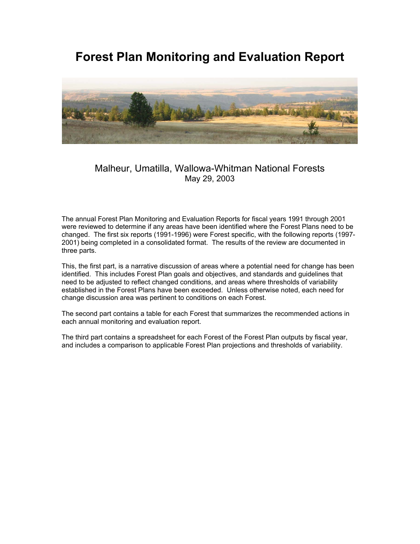# **Forest Plan Monitoring and Evaluation Report**



# Malheur, Umatilla, Wallowa-Whitman National Forests May 29, 2003

The annual Forest Plan Monitoring and Evaluation Reports for fiscal years 1991 through 2001 were reviewed to determine if any areas have been identified where the Forest Plans need to be changed. The first six reports (1991-1996) were Forest specific, with the following reports (1997- 2001) being completed in a consolidated format. The results of the review are documented in three parts.

This, the first part, is a narrative discussion of areas where a potential need for change has been identified. This includes Forest Plan goals and objectives, and standards and guidelines that need to be adjusted to reflect changed conditions, and areas where thresholds of variability established in the Forest Plans have been exceeded. Unless otherwise noted, each need for change discussion area was pertinent to conditions on each Forest.

The second part contains a table for each Forest that summarizes the recommended actions in each annual monitoring and evaluation report.

The third part contains a spreadsheet for each Forest of the Forest Plan outputs by fiscal year, and includes a comparison to applicable Forest Plan projections and thresholds of variability.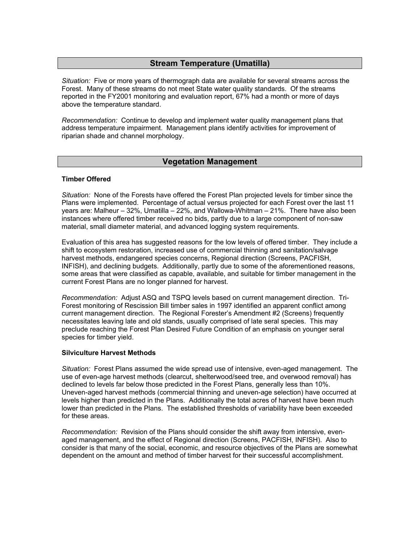# **Stream Temperature (Umatilla)**

*Situation:* Five or more years of thermograph data are available for several streams across the Forest. Many of these streams do not meet State water quality standards. Of the streams reported in the FY2001 monitoring and evaluation report, 67% had a month or more of days above the temperature standard.

*Recommendation:* Continue to develop and implement water quality management plans that address temperature impairment. Management plans identify activities for improvement of riparian shade and channel morphology.

# **Vegetation Management**

#### **Timber Offered**

*Situation:* None of the Forests have offered the Forest Plan projected levels for timber since the Plans were implemented. Percentage of actual versus projected for each Forest over the last 11 years are: Malheur – 32%, Umatilla – 22%, and Wallowa-Whitman – 21%. There have also been instances where offered timber received no bids, partly due to a large component of non-saw material, small diameter material, and advanced logging system requirements.

Evaluation of this area has suggested reasons for the low levels of offered timber. They include a shift to ecosystem restoration, increased use of commercial thinning and sanitation/salvage harvest methods, endangered species concerns, Regional direction (Screens, PACFISH, INFISH), and declining budgets. Additionally, partly due to some of the aforementioned reasons, some areas that were classified as capable, available, and suitable for timber management in the current Forest Plans are no longer planned for harvest.

*Recommendation:* Adjust ASQ and TSPQ levels based on current management direction. Tri-Forest monitoring of Rescission Bill timber sales in 1997 identified an apparent conflict among current management direction. The Regional Forester's Amendment #2 (Screens) frequently necessitates leaving late and old stands, usually comprised of late seral species. This may preclude reaching the Forest Plan Desired Future Condition of an emphasis on younger seral species for timber yield.

#### **Silviculture Harvest Methods**

*Situation:* Forest Plans assumed the wide spread use of intensive, even-aged management. The use of even-age harvest methods (clearcut, shelterwood/seed tree, and overwood removal) has declined to levels far below those predicted in the Forest Plans, generally less than 10%. Uneven-aged harvest methods (commercial thinning and uneven-age selection) have occurred at levels higher than predicted in the Plans. Additionally the total acres of harvest have been much lower than predicted in the Plans. The established thresholds of variability have been exceeded for these areas.

*Recommendation:* Revision of the Plans should consider the shift away from intensive, evenaged management, and the effect of Regional direction (Screens, PACFISH, INFISH). Also to consider is that many of the social, economic, and resource objectives of the Plans are somewhat dependent on the amount and method of timber harvest for their successful accomplishment.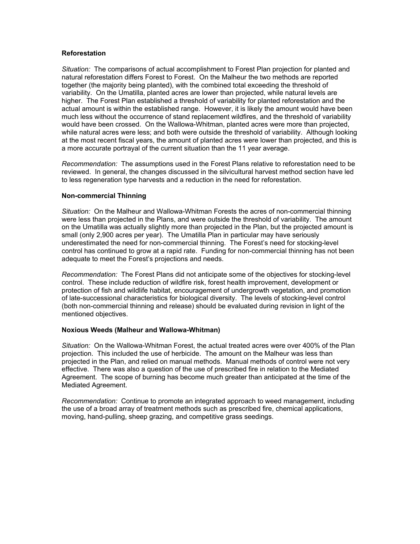#### **Reforestation**

*Situation:* The comparisons of actual accomplishment to Forest Plan projection for planted and natural reforestation differs Forest to Forest. On the Malheur the two methods are reported together (the majority being planted), with the combined total exceeding the threshold of variability. On the Umatilla, planted acres are lower than projected, while natural levels are higher. The Forest Plan established a threshold of variability for planted reforestation and the actual amount is within the established range. However, it is likely the amount would have been much less without the occurrence of stand replacement wildfires, and the threshold of variability would have been crossed. On the Wallowa-Whitman, planted acres were more than projected, while natural acres were less; and both were outside the threshold of variability. Although looking at the most recent fiscal years, the amount of planted acres were lower than projected, and this is a more accurate portrayal of the current situation than the 11 year average.

*Recommendation:* The assumptions used in the Forest Plans relative to reforestation need to be reviewed. In general, the changes discussed in the silvicultural harvest method section have led to less regeneration type harvests and a reduction in the need for reforestation.

#### **Non-commercial Thinning**

*Situation:* On the Malheur and Wallowa-Whitman Forests the acres of non-commercial thinning were less than projected in the Plans, and were outside the threshold of variability. The amount on the Umatilla was actually slightly more than projected in the Plan, but the projected amount is small (only 2,900 acres per year). The Umatilla Plan in particular may have seriously underestimated the need for non-commercial thinning. The Forest's need for stocking-level control has continued to grow at a rapid rate. Funding for non-commercial thinning has not been adequate to meet the Forest's projections and needs.

*Recommendation:* The Forest Plans did not anticipate some of the objectives for stocking-level control. These include reduction of wildfire risk, forest health improvement, development or protection of fish and wildlife habitat, encouragement of undergrowth vegetation, and promotion of late-successional characteristics for biological diversity. The levels of stocking-level control (both non-commercial thinning and release) should be evaluated during revision in light of the mentioned objectives.

#### **Noxious Weeds (Malheur and Wallowa-Whitman)**

*Situation:* On the Wallowa-Whitman Forest, the actual treated acres were over 400% of the Plan projection. This included the use of herbicide. The amount on the Malheur was less than projected in the Plan, and relied on manual methods. Manual methods of control were not very effective. There was also a question of the use of prescribed fire in relation to the Mediated Agreement. The scope of burning has become much greater than anticipated at the time of the Mediated Agreement.

*Recommendation:* Continue to promote an integrated approach to weed management, including the use of a broad array of treatment methods such as prescribed fire, chemical applications, moving, hand-pulling, sheep grazing, and competitive grass seedings.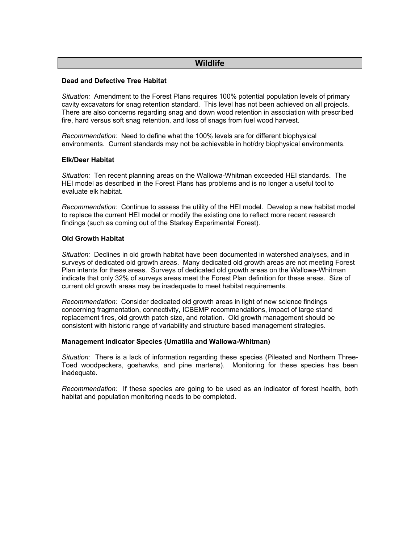# **Wildlife**

### **Dead and Defective Tree Habitat**

*Situation:* Amendment to the Forest Plans requires 100% potential population levels of primary cavity excavators for snag retention standard. This level has not been achieved on all projects. There are also concerns regarding snag and down wood retention in association with prescribed fire, hard versus soft snag retention, and loss of snags from fuel wood harvest.

*Recommendation:* Need to define what the 100% levels are for different biophysical environments. Current standards may not be achievable in hot/dry biophysical environments.

#### **Elk/Deer Habitat**

*Situation:* Ten recent planning areas on the Wallowa-Whitman exceeded HEI standards. The HEI model as described in the Forest Plans has problems and is no longer a useful tool to evaluate elk habitat.

*Recommendation:* Continue to assess the utility of the HEI model. Develop a new habitat model to replace the current HEI model or modify the existing one to reflect more recent research findings (such as coming out of the Starkey Experimental Forest).

#### **Old Growth Habitat**

*Situation:* Declines in old growth habitat have been documented in watershed analyses, and in surveys of dedicated old growth areas. Many dedicated old growth areas are not meeting Forest Plan intents for these areas. Surveys of dedicated old growth areas on the Wallowa-Whitman indicate that only 32% of surveys areas meet the Forest Plan definition for these areas. Size of current old growth areas may be inadequate to meet habitat requirements.

*Recommendation:* Consider dedicated old growth areas in light of new science findings concerning fragmentation, connectivity, ICBEMP recommendations, impact of large stand replacement fires, old growth patch size, and rotation. Old growth management should be consistent with historic range of variability and structure based management strategies.

#### **Management Indicator Species (Umatilla and Wallowa-Whitman)**

*Situation:* There is a lack of information regarding these species (Pileated and Northern Three-Toed woodpeckers, goshawks, and pine martens). Monitoring for these species has been inadequate.

*Recommendation:* If these species are going to be used as an indicator of forest health, both habitat and population monitoring needs to be completed.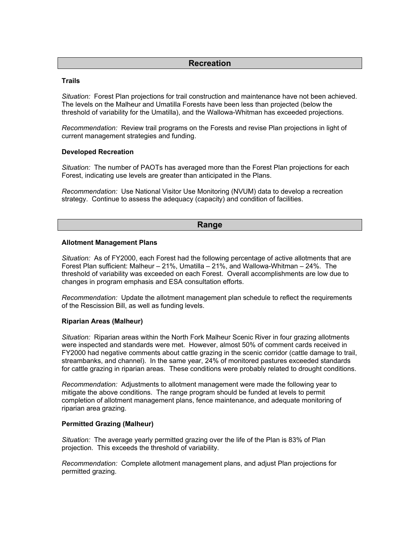## **Recreation**

#### **Trails**

*Situation:* Forest Plan projections for trail construction and maintenance have not been achieved. The levels on the Malheur and Umatilla Forests have been less than projected (below the threshold of variability for the Umatilla), and the Wallowa-Whitman has exceeded projections.

*Recommendation:* Review trail programs on the Forests and revise Plan projections in light of current management strategies and funding.

#### **Developed Recreation**

*Situation:* The number of PAOTs has averaged more than the Forest Plan projections for each Forest, indicating use levels are greater than anticipated in the Plans.

*Recommendation:* Use National Visitor Use Monitoring (NVUM) data to develop a recreation strategy. Continue to assess the adequacy (capacity) and condition of facilities.

#### **Range**

#### **Allotment Management Plans**

*Situation:* As of FY2000, each Forest had the following percentage of active allotments that are Forest Plan sufficient: Malheur – 21%, Umatilla – 21%, and Wallowa-Whitman – 24%. The threshold of variability was exceeded on each Forest. Overall accomplishments are low due to changes in program emphasis and ESA consultation efforts.

*Recommendation:* Update the allotment management plan schedule to reflect the requirements of the Rescission Bill, as well as funding levels.

#### **Riparian Areas (Malheur)**

*Situation:* Riparian areas within the North Fork Malheur Scenic River in four grazing allotments were inspected and standards were met. However, almost 50% of comment cards received in FY2000 had negative comments about cattle grazing in the scenic corridor (cattle damage to trail, streambanks, and channel). In the same year, 24% of monitored pastures exceeded standards for cattle grazing in riparian areas. These conditions were probably related to drought conditions.

*Recommendation:* Adjustments to allotment management were made the following year to mitigate the above conditions. The range program should be funded at levels to permit completion of allotment management plans, fence maintenance, and adequate monitoring of riparian area grazing.

#### **Permitted Grazing (Malheur)**

*Situation:* The average yearly permitted grazing over the life of the Plan is 83% of Plan projection. This exceeds the threshold of variability.

*Recommendation:* Complete allotment management plans, and adjust Plan projections for permitted grazing.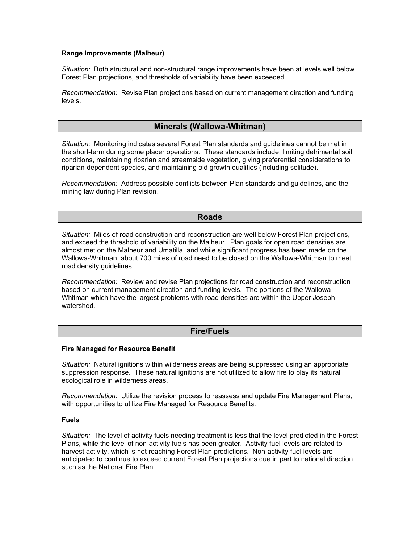#### **Range Improvements (Malheur)**

*Situation:* Both structural and non-structural range improvements have been at levels well below Forest Plan projections, and thresholds of variability have been exceeded.

*Recommendation:* Revise Plan projections based on current management direction and funding levels.

# **Minerals (Wallowa-Whitman)**

*Situation:* Monitoring indicates several Forest Plan standards and guidelines cannot be met in the short-term during some placer operations. These standards include: limiting detrimental soil conditions, maintaining riparian and streamside vegetation, giving preferential considerations to riparian-dependent species, and maintaining old growth qualities (including solitude).

*Recommendation:* Address possible conflicts between Plan standards and guidelines, and the mining law during Plan revision.

#### **Roads**

*Situation:* Miles of road construction and reconstruction are well below Forest Plan projections, and exceed the threshold of variability on the Malheur. Plan goals for open road densities are almost met on the Malheur and Umatilla, and while significant progress has been made on the Wallowa-Whitman, about 700 miles of road need to be closed on the Wallowa-Whitman to meet road density guidelines.

*Recommendation:* Review and revise Plan projections for road construction and reconstruction based on current management direction and funding levels. The portions of the Wallowa-Whitman which have the largest problems with road densities are within the Upper Joseph watershed.

## **Fire/Fuels**

#### **Fire Managed for Resource Benefit**

*Situation:* Natural ignitions within wilderness areas are being suppressed using an appropriate suppression response. These natural ignitions are not utilized to allow fire to play its natural ecological role in wilderness areas.

*Recommendation:* Utilize the revision process to reassess and update Fire Management Plans, with opportunities to utilize Fire Managed for Resource Benefits.

#### **Fuels**

*Situation:* The level of activity fuels needing treatment is less that the level predicted in the Forest Plans, while the level of non-activity fuels has been greater. Activity fuel levels are related to harvest activity, which is not reaching Forest Plan predictions. Non-activity fuel levels are anticipated to continue to exceed current Forest Plan projections due in part to national direction, such as the National Fire Plan.